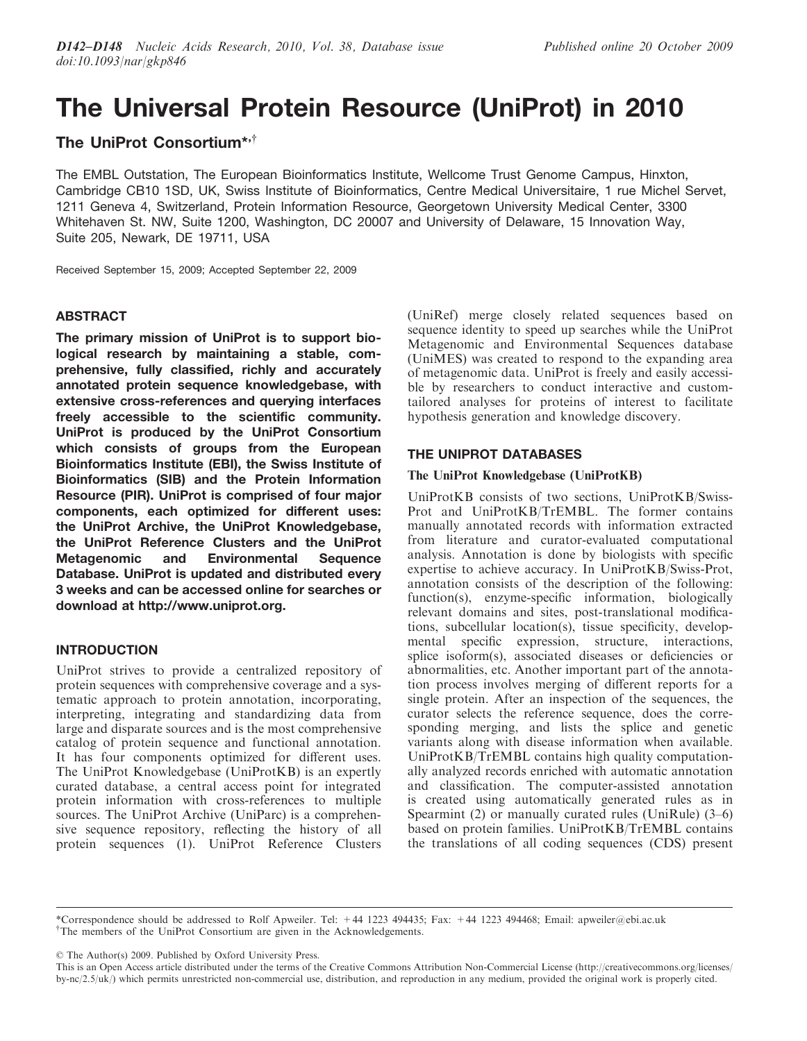# The Universal Protein Resource (UniProt) in 2010

# The UniProt Consortium\*, $\dot{y}$

The EMBL Outstation, The European Bioinformatics Institute, Wellcome Trust Genome Campus, Hinxton, Cambridge CB10 1SD, UK, Swiss Institute of Bioinformatics, Centre Medical Universitaire, 1 rue Michel Servet, 1211 Geneva 4, Switzerland, Protein Information Resource, Georgetown University Medical Center, 3300 Whitehaven St. NW, Suite 1200, Washington, DC 20007 and University of Delaware, 15 Innovation Way, Suite 205, Newark, DE 19711, USA

Received September 15, 2009; Accepted September 22, 2009

# ABSTRACT

The primary mission of UniProt is to support biological research by maintaining a stable, comprehensive, fully classified, richly and accurately annotated protein sequence knowledgebase, with extensive cross-references and querying interfaces freely accessible to the scientific community. UniProt is produced by the UniProt Consortium which consists of groups from the European Bioinformatics Institute (EBI), the Swiss Institute of Bioinformatics (SIB) and the Protein Information Resource (PIR). UniProt is comprised of four major components, each optimized for different uses: the UniProt Archive, the UniProt Knowledgebase, the UniProt Reference Clusters and the UniProt Metagenomic and Environmental Sequence Database. UniProt is updated and distributed every 3 weeks and can be accessed online for searches or download at http://www.uniprot.org.

# INTRODUCTION

UniProt strives to provide a centralized repository of protein sequences with comprehensive coverage and a systematic approach to protein annotation, incorporating, interpreting, integrating and standardizing data from large and disparate sources and is the most comprehensive catalog of protein sequence and functional annotation. It has four components optimized for different uses. The UniProt Knowledgebase (UniProtKB) is an expertly curated database, a central access point for integrated protein information with cross-references to multiple sources. The UniProt Archive (UniParc) is a comprehensive sequence repository, reflecting the history of all protein sequences (1). UniProt Reference Clusters

(UniRef) merge closely related sequences based on sequence identity to speed up searches while the UniProt Metagenomic and Environmental Sequences database (UniMES) was created to respond to the expanding area of metagenomic data. UniProt is freely and easily accessible by researchers to conduct interactive and customtailored analyses for proteins of interest to facilitate hypothesis generation and knowledge discovery.

# THE UNIPROT DATABASES

## The UniProt Knowledgebase (UniProtKB)

UniProtKB consists of two sections, UniProtKB/Swiss-Prot and UniProtKB/TrEMBL. The former contains manually annotated records with information extracted from literature and curator-evaluated computational analysis. Annotation is done by biologists with specific expertise to achieve accuracy. In UniProtKB/Swiss-Prot, annotation consists of the description of the following: function(s), enzyme-specific information, biologically relevant domains and sites, post-translational modifications, subcellular location(s), tissue specificity, developmental specific expression, structure, interactions, splice isoform(s), associated diseases or deficiencies or abnormalities, etc. Another important part of the annotation process involves merging of different reports for a single protein. After an inspection of the sequences, the curator selects the reference sequence, does the corresponding merging, and lists the splice and genetic variants along with disease information when available. UniProtKB/TrEMBL contains high quality computationally analyzed records enriched with automatic annotation and classification. The computer-assisted annotation is created using automatically generated rules as in Spearmint (2) or manually curated rules (UniRule) (3–6) based on protein families. UniProtKB/TrEMBL contains the translations of all coding sequences (CDS) present

© The Author(s) 2009. Published by Oxford University Press.

This is an Open Access article distributed under the terms of the Creative Commons Attribution Non-Commercial License (http://creativecommons.org/licenses/ by-nc/2.5/uk/) which permits unrestricted non-commercial use, distribution, and reproduction in any medium, provided the original work is properly cited.

<sup>\*</sup>Correspondence should be addressed to Rolf Apweiler. Tel: +44 1223 494435; Fax: +44 1223 494468; Email: apweiler@ebi.ac.uk <sup>†</sup>The members of the UniProt Consortium are given in the Acknowledgements.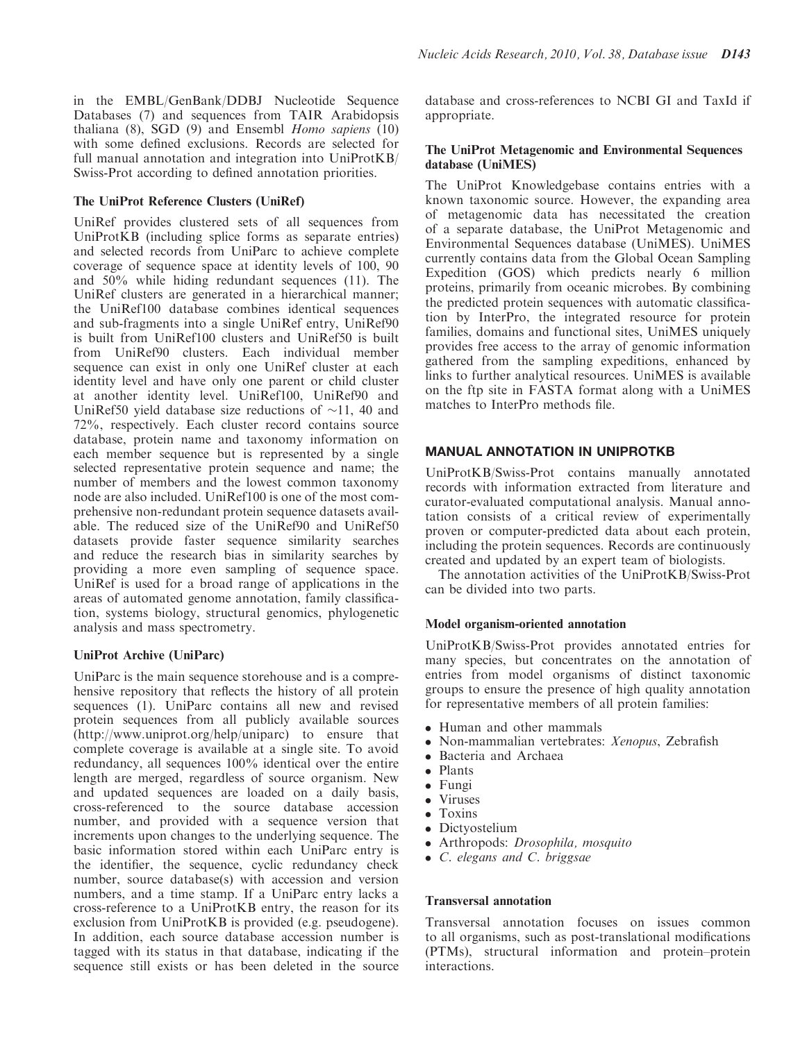in the EMBL/GenBank/DDBJ Nucleotide Sequence Databases (7) and sequences from TAIR Arabidopsis thaliana  $(8)$ , SGD  $(9)$  and Ensembl Homo sapiens  $(10)$ with some defined exclusions. Records are selected for full manual annotation and integration into UniProtKB/ Swiss-Prot according to defined annotation priorities.

## The UniProt Reference Clusters (UniRef)

UniRef provides clustered sets of all sequences from UniProtKB (including splice forms as separate entries) and selected records from UniParc to achieve complete coverage of sequence space at identity levels of 100, 90 and 50% while hiding redundant sequences (11). The UniRef clusters are generated in a hierarchical manner; the UniRef100 database combines identical sequences and sub-fragments into a single UniRef entry, UniRef90 is built from UniRef100 clusters and UniRef50 is built from UniRef90 clusters. Each individual member sequence can exist in only one UniRef cluster at each identity level and have only one parent or child cluster at another identity level. UniRef100, UniRef90 and UniRef50 yield database size reductions of  $\sim$ 11, 40 and 72%, respectively. Each cluster record contains source database, protein name and taxonomy information on each member sequence but is represented by a single selected representative protein sequence and name; the number of members and the lowest common taxonomy node are also included. UniRef100 is one of the most comprehensive non-redundant protein sequence datasets available. The reduced size of the UniRef90 and UniRef50 datasets provide faster sequence similarity searches and reduce the research bias in similarity searches by providing a more even sampling of sequence space. UniRef is used for a broad range of applications in the areas of automated genome annotation, family classification, systems biology, structural genomics, phylogenetic analysis and mass spectrometry.

### UniProt Archive (UniParc)

UniParc is the main sequence storehouse and is a comprehensive repository that reflects the history of all protein sequences (1). UniParc contains all new and revised protein sequences from all publicly available sources (http://www.uniprot.org/help/uniparc) to ensure that complete coverage is available at a single site. To avoid redundancy, all sequences 100% identical over the entire length are merged, regardless of source organism. New and updated sequences are loaded on a daily basis, cross-referenced to the source database accession number, and provided with a sequence version that increments upon changes to the underlying sequence. The basic information stored within each UniParc entry is the identifier, the sequence, cyclic redundancy check number, source database(s) with accession and version numbers, and a time stamp. If a UniParc entry lacks a cross-reference to a UniProtKB entry, the reason for its exclusion from UniProtKB is provided (e.g. pseudogene). In addition, each source database accession number is tagged with its status in that database, indicating if the sequence still exists or has been deleted in the source

database and cross-references to NCBI GI and TaxId if appropriate.

### The UniProt Metagenomic and Environmental Sequences database (UniMES)

The UniProt Knowledgebase contains entries with a known taxonomic source. However, the expanding area of metagenomic data has necessitated the creation of a separate database, the UniProt Metagenomic and Environmental Sequences database (UniMES). UniMES currently contains data from the Global Ocean Sampling Expedition (GOS) which predicts nearly 6 million proteins, primarily from oceanic microbes. By combining the predicted protein sequences with automatic classification by InterPro, the integrated resource for protein families, domains and functional sites, UniMES uniquely provides free access to the array of genomic information gathered from the sampling expeditions, enhanced by links to further analytical resources. UniMES is available on the ftp site in FASTA format along with a UniMES matches to InterPro methods file.

# MANUAL ANNOTATION IN UNIPROTKB

UniProtKB/Swiss-Prot contains manually annotated records with information extracted from literature and curator-evaluated computational analysis. Manual annotation consists of a critical review of experimentally proven or computer-predicted data about each protein, including the protein sequences. Records are continuously created and updated by an expert team of biologists.

The annotation activities of the UniProtKB/Swiss-Prot can be divided into two parts.

# Model organism-oriented annotation

UniProtKB/Swiss-Prot provides annotated entries for many species, but concentrates on the annotation of entries from model organisms of distinct taxonomic groups to ensure the presence of high quality annotation for representative members of all protein families:

- . Human and other mammals
- . Non-mammalian vertebrates: Xenopus, Zebrafish
	- . Bacteria and Archaea
- . Plants
- . Fungi
- . Viruses
- . Toxins
- Dictyostelium
- . Arthropods: Drosophila, mosquito
- . C. elegans and C. briggsae

### Transversal annotation

Transversal annotation focuses on issues common to all organisms, such as post-translational modifications (PTMs), structural information and protein–protein interactions.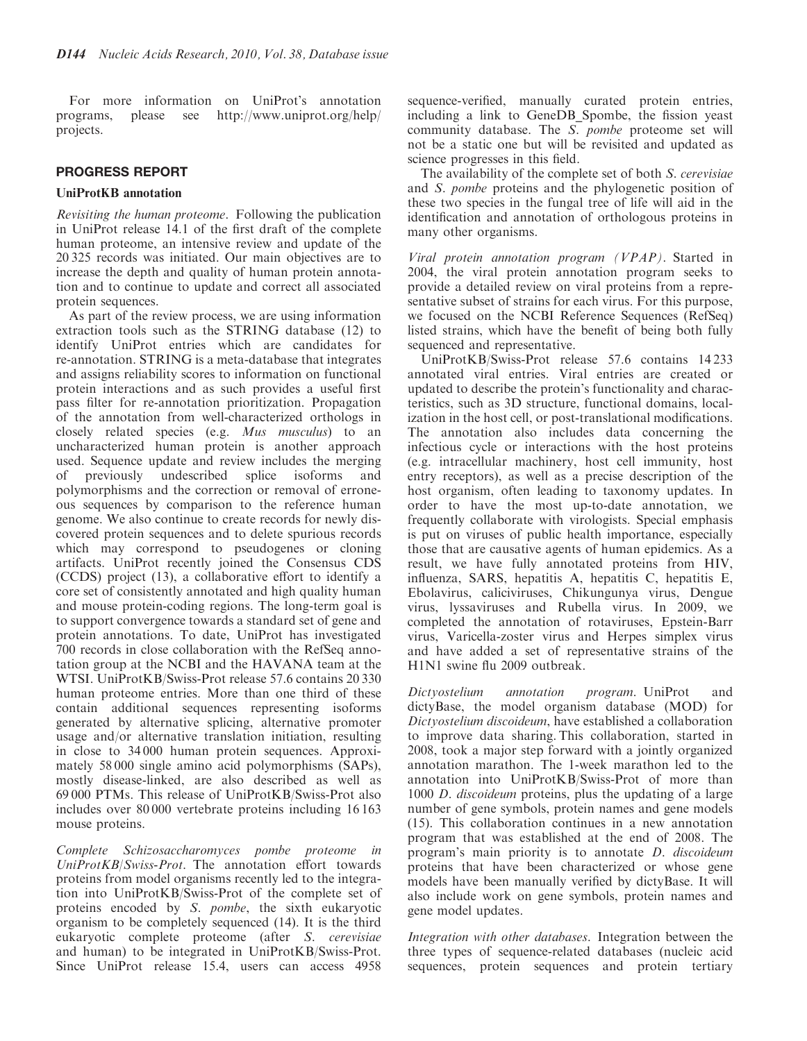For more information on UniProt's annotation programs, please see http://www.uniprot.org/help/ projects.

## PROGRESS REPORT

#### UniProtKB annotation

Revisiting the human proteome. Following the publication in UniProt release 14.1 of the first draft of the complete human proteome, an intensive review and update of the 20 325 records was initiated. Our main objectives are to increase the depth and quality of human protein annotation and to continue to update and correct all associated protein sequences.

As part of the review process, we are using information extraction tools such as the STRING database (12) to identify UniProt entries which are candidates for re-annotation. STRING is a meta-database that integrates and assigns reliability scores to information on functional protein interactions and as such provides a useful first pass filter for re-annotation prioritization. Propagation of the annotation from well-characterized orthologs in closely related species (e.g. Mus musculus) to an uncharacterized human protein is another approach used. Sequence update and review includes the merging of previously undescribed splice isoforms and polymorphisms and the correction or removal of erroneous sequences by comparison to the reference human genome. We also continue to create records for newly discovered protein sequences and to delete spurious records which may correspond to pseudogenes or cloning artifacts. UniProt recently joined the Consensus CDS (CCDS) project (13), a collaborative effort to identify a core set of consistently annotated and high quality human and mouse protein-coding regions. The long-term goal is to support convergence towards a standard set of gene and protein annotations. To date, UniProt has investigated 700 records in close collaboration with the RefSeq annotation group at the NCBI and the HAVANA team at the WTSI. UniProtKB/Swiss-Prot release 57.6 contains 20 330 human proteome entries. More than one third of these contain additional sequences representing isoforms generated by alternative splicing, alternative promoter usage and/or alternative translation initiation, resulting in close to 34 000 human protein sequences. Approximately 58 000 single amino acid polymorphisms (SAPs), mostly disease-linked, are also described as well as 69 000 PTMs. This release of UniProtKB/Swiss-Prot also includes over 80 000 vertebrate proteins including 16 163 mouse proteins.

Complete Schizosaccharomyces pombe proteome in UniProtKB/Swiss-Prot. The annotation effort towards proteins from model organisms recently led to the integration into UniProtKB/Swiss-Prot of the complete set of proteins encoded by S. pombe, the sixth eukaryotic organism to be completely sequenced (14). It is the third eukaryotic complete proteome (after S. cerevisiae and human) to be integrated in UniProtKB/Swiss-Prot. Since UniProt release 15.4, users can access 4958

sequence-verified, manually curated protein entries, including a link to GeneDB\_Spombe, the fission yeast community database. The S. pombe proteome set will not be a static one but will be revisited and updated as science progresses in this field.

The availability of the complete set of both S. cerevisiae and S. pombe proteins and the phylogenetic position of these two species in the fungal tree of life will aid in the identification and annotation of orthologous proteins in many other organisms.

Viral protein annotation program (VPAP). Started in 2004, the viral protein annotation program seeks to provide a detailed review on viral proteins from a representative subset of strains for each virus. For this purpose, we focused on the NCBI Reference Sequences (RefSeq) listed strains, which have the benefit of being both fully sequenced and representative.

UniProtKB/Swiss-Prot release 57.6 contains 14 233 annotated viral entries. Viral entries are created or updated to describe the protein's functionality and characteristics, such as 3D structure, functional domains, localization in the host cell, or post-translational modifications. The annotation also includes data concerning the infectious cycle or interactions with the host proteins (e.g. intracellular machinery, host cell immunity, host entry receptors), as well as a precise description of the host organism, often leading to taxonomy updates. In order to have the most up-to-date annotation, we frequently collaborate with virologists. Special emphasis is put on viruses of public health importance, especially those that are causative agents of human epidemics. As a result, we have fully annotated proteins from HIV, influenza, SARS, hepatitis A, hepatitis C, hepatitis E, Ebolavirus, caliciviruses, Chikungunya virus, Dengue virus, lyssaviruses and Rubella virus. In 2009, we completed the annotation of rotaviruses, Epstein-Barr virus, Varicella-zoster virus and Herpes simplex virus and have added a set of representative strains of the H1N1 swine flu 2009 outbreak.

Dictyostelium annotation program. UniProt and dictyBase, the model organism database (MOD) for Dictyostelium discoideum, have established a collaboration to improve data sharing. This collaboration, started in 2008, took a major step forward with a jointly organized annotation marathon. The 1-week marathon led to the annotation into UniProtKB/Swiss-Prot of more than 1000 *D. discoideum* proteins, plus the updating of a large number of gene symbols, protein names and gene models (15). This collaboration continues in a new annotation program that was established at the end of 2008. The program's main priority is to annotate D. discoideum proteins that have been characterized or whose gene models have been manually verified by dictyBase. It will also include work on gene symbols, protein names and gene model updates.

Integration with other databases. Integration between the three types of sequence-related databases (nucleic acid sequences, protein sequences and protein tertiary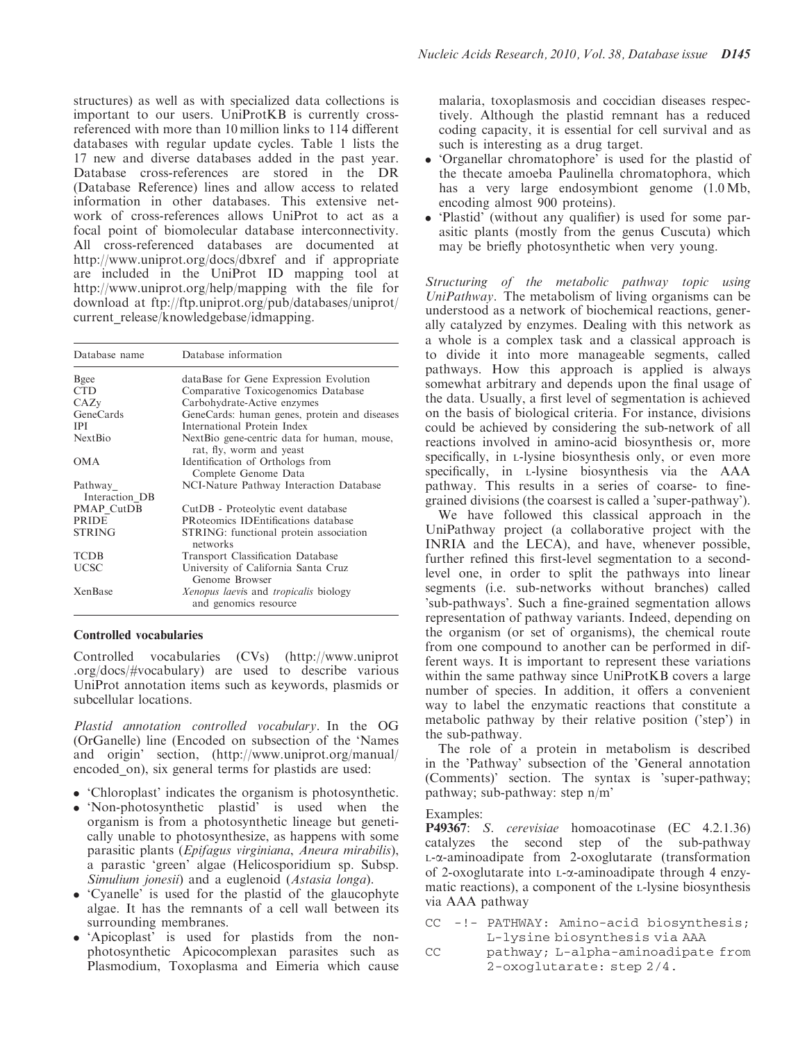structures) as well as with specialized data collections is important to our users. UniProtKB is currently crossreferenced with more than 10 million links to 114 different databases with regular update cycles. Table 1 lists the 17 new and diverse databases added in the past year. Database cross-references are stored in the DR (Database Reference) lines and allow access to related information in other databases. This extensive network of cross-references allows UniProt to act as a focal point of biomolecular database interconnectivity. All cross-referenced databases are documented at http://www.uniprot.org/docs/dbxref and if appropriate are included in the UniProt ID mapping tool at http://www.uniprot.org/help/mapping with the file for download at ftp://ftp.uniprot.org/pub/databases/uniprot/ current\_release/knowledgebase/idmapping.

| Database name             | Database information                                                    |
|---------------------------|-------------------------------------------------------------------------|
| Bgee                      | dataBase for Gene Expression Evolution                                  |
| <b>CTD</b>                | Comparative Toxicogenomics Database                                     |
| CAZv                      | Carbohydrate-Active enzymes                                             |
| GeneCards                 | GeneCards: human genes, protein and diseases                            |
| <b>IPI</b>                | International Protein Index                                             |
| <b>Next Bio</b>           | NextBio gene-centric data for human, mouse,<br>rat, fly, worm and yeast |
| <b>OMA</b>                | Identification of Orthologs from<br>Complete Genome Data                |
| Pathway<br>Interaction DB | NCI-Nature Pathway Interaction Database                                 |
| PMAP CutDB                | CutDB - Proteolytic event database                                      |
| <b>PRIDE</b>              | PRoteomics IDEntifications database                                     |
| <b>STRING</b>             | STRING: functional protein association<br>networks                      |
| <b>TCDB</b>               | <b>Transport Classification Database</b>                                |
| UCSC                      | University of California Santa Cruz<br>Genome Browser                   |
| XenBase                   | Xenopus laevis and tropicalis biology<br>and genomics resource          |

#### Controlled vocabularies

Controlled vocabularies (CVs) (http://www.uniprot .org/docs/#vocabulary) are used to describe various UniProt annotation items such as keywords, plasmids or subcellular locations.

Plastid annotation controlled vocabulary. In the OG (OrGanelle) line (Encoded on subsection of the 'Names and origin' section, (http://www.uniprot.org/manual/ encoded on), six general terms for plastids are used:

- . 'Chloroplast' indicates the organism is photosynthetic.
- . 'Non-photosynthetic plastid' is used when the organism is from a photosynthetic lineage but genetically unable to photosynthesize, as happens with some parasitic plants (Epifagus virginiana, Aneura mirabilis), a parastic 'green' algae (Helicosporidium sp. Subsp. Simulium jonesii) and a euglenoid (Astasia longa).
- . 'Cyanelle' is used for the plastid of the glaucophyte algae. It has the remnants of a cell wall between its surrounding membranes.
- . 'Apicoplast' is used for plastids from the nonphotosynthetic Apicocomplexan parasites such as Plasmodium, Toxoplasma and Eimeria which cause

malaria, toxoplasmosis and coccidian diseases respectively. Although the plastid remnant has a reduced coding capacity, it is essential for cell survival and as such is interesting as a drug target.

- . 'Organellar chromatophore' is used for the plastid of the thecate amoeba Paulinella chromatophora, which has a very large endosymbiont genome (1.0 Mb, encoding almost 900 proteins).
- . 'Plastid' (without any qualifier) is used for some parasitic plants (mostly from the genus Cuscuta) which may be briefly photosynthetic when very young.

Structuring of the metabolic pathway topic using UniPathway. The metabolism of living organisms can be understood as a network of biochemical reactions, generally catalyzed by enzymes. Dealing with this network as a whole is a complex task and a classical approach is to divide it into more manageable segments, called pathways. How this approach is applied is always somewhat arbitrary and depends upon the final usage of the data. Usually, a first level of segmentation is achieved on the basis of biological criteria. For instance, divisions could be achieved by considering the sub-network of all reactions involved in amino-acid biosynthesis or, more specifically, in L-lysine biosynthesis only, or even more specifically, in L-lysine biosynthesis via the AAA pathway. This results in a series of coarse- to finegrained divisions (the coarsest is called a 'super-pathway').

We have followed this classical approach in the UniPathway project (a collaborative project with the INRIA and the LECA), and have, whenever possible, further refined this first-level segmentation to a secondlevel one, in order to split the pathways into linear segments (i.e. sub-networks without branches) called 'sub-pathways'. Such a fine-grained segmentation allows representation of pathway variants. Indeed, depending on the organism (or set of organisms), the chemical route from one compound to another can be performed in different ways. It is important to represent these variations within the same pathway since UniProtKB covers a large number of species. In addition, it offers a convenient way to label the enzymatic reactions that constitute a metabolic pathway by their relative position ('step') in the sub-pathway.

The role of a protein in metabolism is described in the 'Pathway' subsection of the 'General annotation (Comments)' section. The syntax is 'super-pathway; pathway; sub-pathway: step n/m'

### Examples:

P49367: S. cerevisiae homoacotinase (EC 4.2.1.36) catalyzes the second step of the sub-pathway L-a-aminoadipate from 2-oxoglutarate (transformation of 2-oxoglutarate into  $L-\alpha$ -aminoadipate through 4 enzymatic reactions), a component of the L-lysine biosynthesis via AAA pathway

- CC -!- PATHWAY: Amino-acid biosynthesis; L-lysine biosynthesis via AAA
- CC pathway; L-alpha-aminoadipate from 2-oxoglutarate: step 2/4.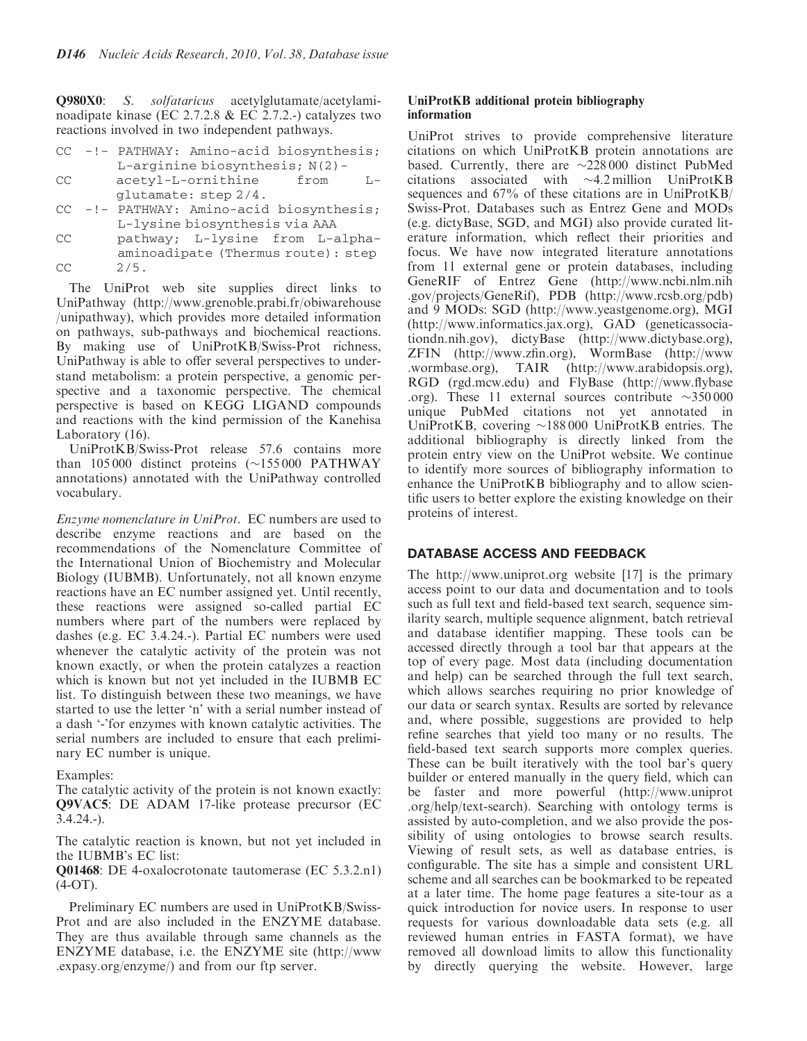Q980X0: S. solfataricus acetylglutamate/acetylaminoadipate kinase (EC 2.7.2.8 & EC 2.7.2.-) catalyzes two reactions involved in two independent pathways.

|        |                                   | CC -!- PATHWAY: Amino-acid biosynthesis; |  |  |  |
|--------|-----------------------------------|------------------------------------------|--|--|--|
|        | L-arginine biosynthesis; $N(2)$ - |                                          |  |  |  |
| $\cap$ |                                   |                                          |  |  |  |

- CC acetyl-L-ornithine from Lglutamate: step 2/4.
- CC -!- PATHWAY: Amino-acid biosynthesis; L-lysine biosynthesis via AAA
- CC pathway; L-lysine from L-alphaaminoadipate (Thermus route): step  $CC$   $2/5$ .

The UniProt web site supplies direct links to UniPathway (http://www.grenoble.prabi.fr/obiwarehouse /unipathway), which provides more detailed information on pathways, sub-pathways and biochemical reactions. By making use of UniProtKB/Swiss-Prot richness, UniPathway is able to offer several perspectives to understand metabolism: a protein perspective, a genomic perspective and a taxonomic perspective. The chemical perspective is based on KEGG LIGAND compounds and reactions with the kind permission of the Kanehisa Laboratory (16).

UniProtKB/Swiss-Prot release 57.6 contains more than  $105000$  distinct proteins ( $\sim$ 155000 PATHWAY annotations) annotated with the UniPathway controlled vocabulary.

Enzyme nomenclature in UniProt. EC numbers are used to describe enzyme reactions and are based on the recommendations of the Nomenclature Committee of the International Union of Biochemistry and Molecular Biology (IUBMB). Unfortunately, not all known enzyme reactions have an EC number assigned yet. Until recently, these reactions were assigned so-called partial EC numbers where part of the numbers were replaced by dashes (e.g. EC 3.4.24.-). Partial EC numbers were used whenever the catalytic activity of the protein was not known exactly, or when the protein catalyzes a reaction which is known but not yet included in the IUBMB EC list. To distinguish between these two meanings, we have started to use the letter 'n' with a serial number instead of a dash '-'for enzymes with known catalytic activities. The serial numbers are included to ensure that each preliminary EC number is unique.

#### Examples:

The catalytic activity of the protein is not known exactly: Q9VAC5: DE ADAM 17-like protease precursor (EC 3.4.24.-).

The catalytic reaction is known, but not yet included in the IUBMB's EC list:

Q01468: DE 4-oxalocrotonate tautomerase (EC 5.3.2.n1)  $(4-OT)$ .

Preliminary EC numbers are used in UniProtKB/Swiss-Prot and are also included in the ENZYME database. They are thus available through same channels as the ENZYME database, i.e. the ENZYME site (http://www .expasy.org/enzyme/) and from our ftp server.

#### UniProtKB additional protein bibliography information

UniProt strives to provide comprehensive literature citations on which UniProtKB protein annotations are based. Currently, there are  $\sim$ 228000 distinct PubMed citations associated with  $\sim$ 4.2 million UniProtKB sequences and 67% of these citations are in UniProtKB/ Swiss-Prot. Databases such as Entrez Gene and MODs (e.g. dictyBase, SGD, and MGI) also provide curated literature information, which reflect their priorities and focus. We have now integrated literature annotations from 11 external gene or protein databases, including GeneRIF of Entrez Gene (http://www.ncbi.nlm.nih .gov/projects/GeneRif), PDB (http://www.rcsb.org/pdb) and 9 MODs: SGD (http://www.yeastgenome.org), MGI (http://www.informatics.jax.org), GAD (geneticassociationdn.nih.gov), dictyBase (http://www.dictybase.org), ZFIN (http://www.zfin.org), WormBase (http://www .wormbase.org), TAIR (http://www.arabidopsis.org), RGD (rgd.mcw.edu) and FlyBase (http://www.flybase .org). These 11 external sources contribute  $\sim$ 350 000 unique PubMed citations not yet annotated in UniProtKB, covering  $\sim$ 188 000 UniProtKB entries. The additional bibliography is directly linked from the protein entry view on the UniProt website. We continue to identify more sources of bibliography information to enhance the UniProtKB bibliography and to allow scientific users to better explore the existing knowledge on their proteins of interest.

### DATABASE ACCESS AND FEEDBACK

The http://www.uniprot.org website [17] is the primary access point to our data and documentation and to tools such as full text and field-based text search, sequence similarity search, multiple sequence alignment, batch retrieval and database identifier mapping. These tools can be accessed directly through a tool bar that appears at the top of every page. Most data (including documentation and help) can be searched through the full text search, which allows searches requiring no prior knowledge of our data or search syntax. Results are sorted by relevance and, where possible, suggestions are provided to help refine searches that yield too many or no results. The field-based text search supports more complex queries. These can be built iteratively with the tool bar's query builder or entered manually in the query field, which can be faster and more powerful (http://www.uniprot .org/help/text-search). Searching with ontology terms is assisted by auto-completion, and we also provide the possibility of using ontologies to browse search results. Viewing of result sets, as well as database entries, is configurable. The site has a simple and consistent URL scheme and all searches can be bookmarked to be repeated at a later time. The home page features a site-tour as a quick introduction for novice users. In response to user requests for various downloadable data sets (e.g. all reviewed human entries in FASTA format), we have removed all download limits to allow this functionality by directly querying the website. However, large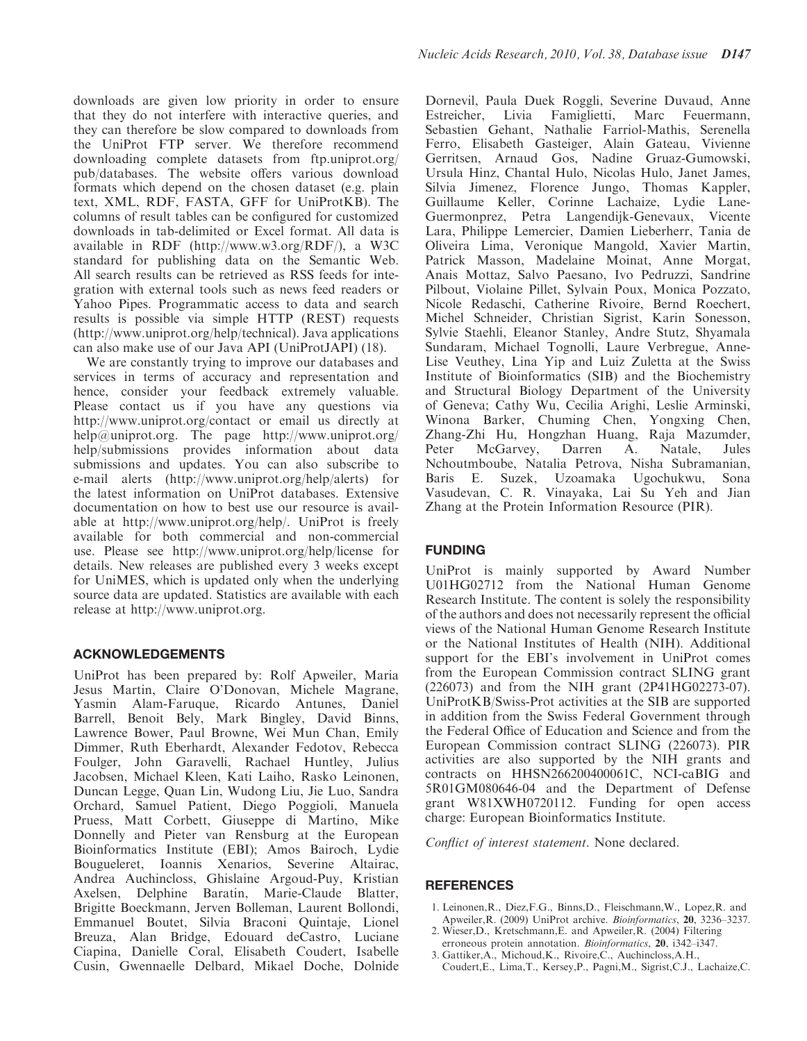downloads are given low priority in order to ensure that they do not interfere with interactive queries, and they can therefore be slow compared to downloads from the UniProt FTP server. We therefore recommend downloading complete datasets from ftp.uniprot.org/ pub/databases. The website offers various download formats which depend on the chosen dataset (e.g. plain text, XML, RDF, FASTA, GFF for UniProtKB). The columns of result tables can be configured for customized downloads in tab-delimited or Excel format. All data is available in RDF (http://www.w3.org/RDF/), a W3C standard for publishing data on the Semantic Web. All search results can be retrieved as RSS feeds for integration with external tools such as news feed readers or Yahoo Pipes. Programmatic access to data and search results is possible via simple HTTP (REST) requests (http://www.uniprot.org/help/technical). Java applications can also make use of our Java API (UniProtJAPI) (18).

We are constantly trying to improve our databases and services in terms of accuracy and representation and hence, consider your feedback extremely valuable. Please contact us if you have any questions via http://www.uniprot.org/contact or email us directly at help@uniprot.org. The page http://www.uniprot.org/ help/submissions provides information about data submissions and updates. You can also subscribe to e-mail alerts (http://www.uniprot.org/help/alerts) for the latest information on UniProt databases. Extensive documentation on how to best use our resource is available at http://www.uniprot.org/help/. UniProt is freely available for both commercial and non-commercial use. Please see http://www.uniprot.org/help/license for details. New releases are published every 3 weeks except for UniMES, which is updated only when the underlying source data are updated. Statistics are available with each release at http://www.uniprot.org.

### ACKNOWLEDGEMENTS

UniProt has been prepared by: Rolf Apweiler, Maria Jesus Martin, Claire O'Donovan, Michele Magrane, Yasmin Alam-Faruque, Ricardo Antunes, Daniel Barrell, Benoit Bely, Mark Bingley, David Binns, Lawrence Bower, Paul Browne, Wei Mun Chan, Emily Dimmer, Ruth Eberhardt, Alexander Fedotov, Rebecca Foulger, John Garavelli, Rachael Huntley, Julius Jacobsen, Michael Kleen, Kati Laiho, Rasko Leinonen, Duncan Legge, Quan Lin, Wudong Liu, Jie Luo, Sandra Orchard, Samuel Patient, Diego Poggioli, Manuela Pruess, Matt Corbett, Giuseppe di Martino, Mike Donnelly and Pieter van Rensburg at the European Bioinformatics Institute (EBI); Amos Bairoch, Lydie Bougueleret, Ioannis Xenarios, Severine Altairac, Andrea Auchincloss, Ghislaine Argoud-Puy, Kristian Axelsen, Delphine Baratin, Marie-Claude Blatter, Brigitte Boeckmann, Jerven Bolleman, Laurent Bollondi, Emmanuel Boutet, Silvia Braconi Quintaje, Lionel Breuza, Alan Bridge, Edouard deCastro, Luciane Ciapina, Danielle Coral, Elisabeth Coudert, Isabelle Cusin, Gwennaelle Delbard, Mikael Doche, Dolnide

Dornevil, Paula Duek Roggli, Severine Duvaud, Anne Estreicher, Livia Famiglietti, Marc Feuermann, Sebastien Gehant, Nathalie Farriol-Mathis, Serenella Ferro, Elisabeth Gasteiger, Alain Gateau, Vivienne Gerritsen, Arnaud Gos, Nadine Gruaz-Gumowski, Ursula Hinz, Chantal Hulo, Nicolas Hulo, Janet James, Silvia Jimenez, Florence Jungo, Thomas Kappler, Guillaume Keller, Corinne Lachaize, Lydie Lane-Guermonprez, Petra Langendijk-Genevaux, Vicente Lara, Philippe Lemercier, Damien Lieberherr, Tania de Oliveira Lima, Veronique Mangold, Xavier Martin, Patrick Masson, Madelaine Moinat, Anne Morgat, Anais Mottaz, Salvo Paesano, Ivo Pedruzzi, Sandrine Pilbout, Violaine Pillet, Sylvain Poux, Monica Pozzato, Nicole Redaschi, Catherine Rivoire, Bernd Roechert, Michel Schneider, Christian Sigrist, Karin Sonesson, Sylvie Staehli, Eleanor Stanley, Andre Stutz, Shyamala Sundaram, Michael Tognolli, Laure Verbregue, Anne-Lise Veuthey, Lina Yip and Luiz Zuletta at the Swiss Institute of Bioinformatics (SIB) and the Biochemistry and Structural Biology Department of the University of Geneva; Cathy Wu, Cecilia Arighi, Leslie Arminski, Winona Barker, Chuming Chen, Yongxing Chen, Zhang-Zhi Hu, Hongzhan Huang, Raja Mazumder, Peter McGarvey, Darren A. Natale, Jules Nchoutmboube, Natalia Petrova, Nisha Subramanian, Baris E. Suzek, Uzoamaka Ugochukwu, Sona Vasudevan, C. R. Vinayaka, Lai Su Yeh and Jian Zhang at the Protein Information Resource (PIR).

# FUNDING

UniProt is mainly supported by Award Number U01HG02712 from the National Human Genome Research Institute. The content is solely the responsibility of the authors and does not necessarily represent the official views of the National Human Genome Research Institute or the National Institutes of Health (NIH). Additional support for the EBI's involvement in UniProt comes from the European Commission contract SLING grant (226073) and from the NIH grant (2P41HG02273-07). UniProtKB/Swiss-Prot activities at the SIB are supported in addition from the Swiss Federal Government through the Federal Office of Education and Science and from the European Commission contract SLING (226073). PIR activities are also supported by the NIH grants and contracts on HHSN266200400061C, NCI-caBIG and 5R01GM080646-04 and the Department of Defense grant W81XWH0720112. Funding for open access charge: European Bioinformatics Institute.

Conflict of interest statement. None declared.

### **REFERENCES**

- 1. Leinonen,R., Diez,F.G., Binns,D., Fleischmann,W., Lopez,R. and Apweiler,R. (2009) UniProt archive. Bioinformatics, 20, 3236–3237.
- 2. Wieser,D., Kretschmann,E. and Apweiler,R. (2004) Filtering erroneous protein annotation. Bioinformatics, 20, i342–i347.
- 3. Gattiker,A., Michoud,K., Rivoire,C., Auchincloss,A.H., Coudert,E., Lima,T., Kersey,P., Pagni,M., Sigrist,C.J., Lachaize,C.